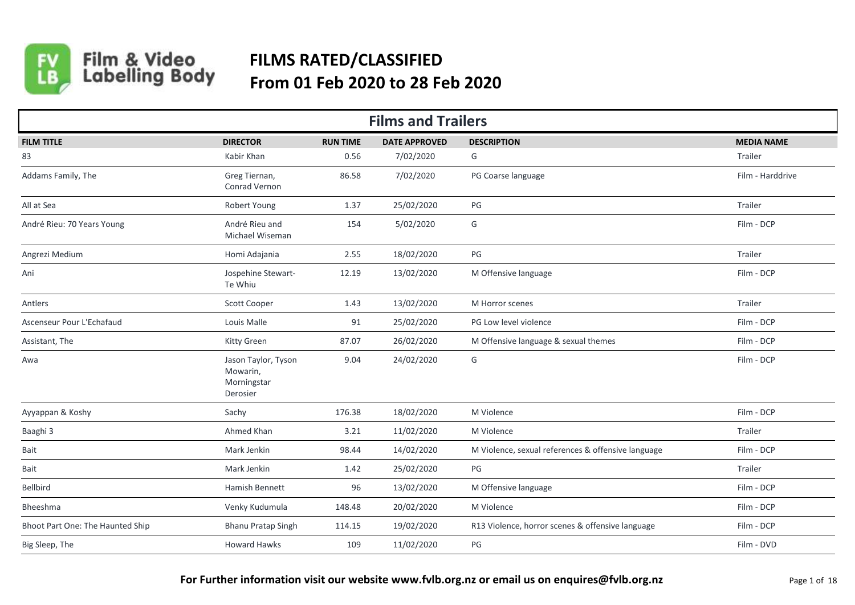

Film & Video<br>Labelling Body

## **FILMS RATED/CLASSIFIED From 01 Feb 2020 to 28 Feb 2020**

| <b>Films and Trailers</b>        |                                                            |                 |                      |                                                    |                   |  |  |  |  |
|----------------------------------|------------------------------------------------------------|-----------------|----------------------|----------------------------------------------------|-------------------|--|--|--|--|
| <b>FILM TITLE</b>                | <b>DIRECTOR</b>                                            | <b>RUN TIME</b> | <b>DATE APPROVED</b> | <b>DESCRIPTION</b>                                 | <b>MEDIA NAME</b> |  |  |  |  |
| 83                               | Kabir Khan                                                 | 0.56            | 7/02/2020            | G                                                  | Trailer           |  |  |  |  |
| Addams Family, The               | Greg Tiernan,<br><b>Conrad Vernon</b>                      | 86.58           | 7/02/2020            | PG Coarse language                                 | Film - Harddrive  |  |  |  |  |
| All at Sea                       | Robert Young                                               | 1.37            | 25/02/2020           | PG                                                 | Trailer           |  |  |  |  |
| André Rieu: 70 Years Young       | André Rieu and<br>Michael Wiseman                          | 154             | 5/02/2020            | G                                                  | Film - DCP        |  |  |  |  |
| Angrezi Medium                   | Homi Adajania                                              | 2.55            | 18/02/2020           | $PG$                                               | Trailer           |  |  |  |  |
| Ani                              | Jospehine Stewart-<br>Te Whiu                              | 12.19           | 13/02/2020           | M Offensive language                               | Film - DCP        |  |  |  |  |
| Antlers                          | Scott Cooper                                               | 1.43            | 13/02/2020           | M Horror scenes                                    | Trailer           |  |  |  |  |
| Ascenseur Pour L'Echafaud        | Louis Malle                                                | 91              | 25/02/2020           | PG Low level violence                              | Film - DCP        |  |  |  |  |
| Assistant, The                   | Kitty Green                                                | 87.07           | 26/02/2020           | M Offensive language & sexual themes               | Film - DCP        |  |  |  |  |
| Awa                              | Jason Taylor, Tyson<br>Mowarin,<br>Morningstar<br>Derosier | 9.04            | 24/02/2020           | G                                                  | Film - DCP        |  |  |  |  |
| Ayyappan & Koshy                 | Sachy                                                      | 176.38          | 18/02/2020           | M Violence                                         | Film - DCP        |  |  |  |  |
| Baaghi 3                         | Ahmed Khan                                                 | 3.21            | 11/02/2020           | M Violence                                         | Trailer           |  |  |  |  |
| Bait                             | Mark Jenkin                                                | 98.44           | 14/02/2020           | M Violence, sexual references & offensive language | Film - DCP        |  |  |  |  |
| Bait                             | Mark Jenkin                                                | 1.42            | 25/02/2020           | PG                                                 | Trailer           |  |  |  |  |
| Bellbird                         | Hamish Bennett                                             | 96              | 13/02/2020           | M Offensive language                               | Film - DCP        |  |  |  |  |
| Bheeshma                         | Venky Kudumula                                             | 148.48          | 20/02/2020           | M Violence                                         | Film - DCP        |  |  |  |  |
| Bhoot Part One: The Haunted Ship | <b>Bhanu Pratap Singh</b>                                  | 114.15          | 19/02/2020           | R13 Violence, horror scenes & offensive language   | Film - DCP        |  |  |  |  |
| Big Sleep, The                   | <b>Howard Hawks</b>                                        | 109             | 11/02/2020           | $PG$                                               | Film - DVD        |  |  |  |  |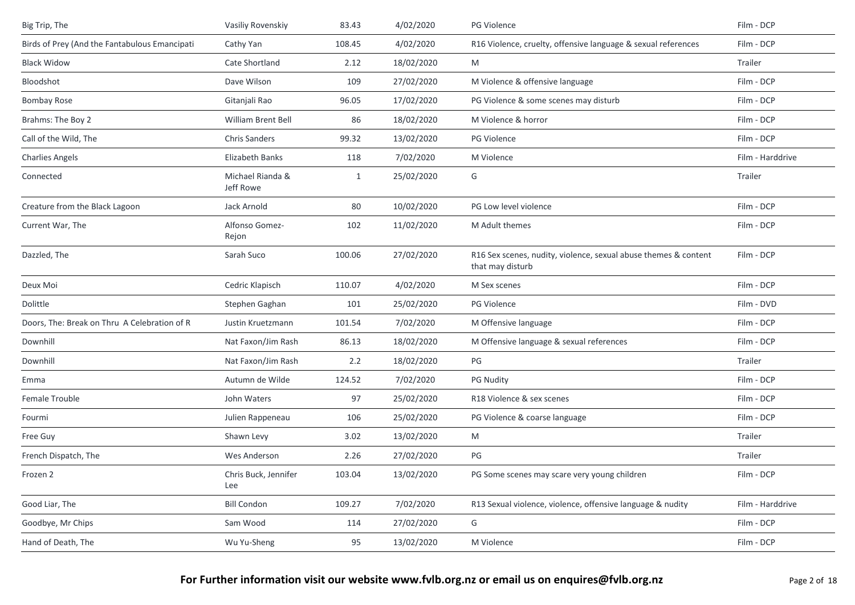| Big Trip, The                                 | Vasiliy Rovenskiy                  | 83.43        | 4/02/2020  | PG Violence                                                                         | Film - DCP       |
|-----------------------------------------------|------------------------------------|--------------|------------|-------------------------------------------------------------------------------------|------------------|
| Birds of Prey (And the Fantabulous Emancipati | Cathy Yan                          | 108.45       | 4/02/2020  | R16 Violence, cruelty, offensive language & sexual references                       | Film - DCP       |
| <b>Black Widow</b>                            | Cate Shortland                     | 2.12         | 18/02/2020 | M                                                                                   | Trailer          |
| Bloodshot                                     | Dave Wilson                        | 109          | 27/02/2020 | M Violence & offensive language                                                     | Film - DCP       |
| <b>Bombay Rose</b>                            | Gitanjali Rao                      | 96.05        | 17/02/2020 | PG Violence & some scenes may disturb                                               | Film - DCP       |
| Brahms: The Boy 2                             | <b>William Brent Bell</b>          | 86           | 18/02/2020 | M Violence & horror                                                                 | Film - DCP       |
| Call of the Wild, The                         | Chris Sanders                      | 99.32        | 13/02/2020 | PG Violence                                                                         | Film - DCP       |
| <b>Charlies Angels</b>                        | Elizabeth Banks                    | 118          | 7/02/2020  | M Violence                                                                          | Film - Harddrive |
| Connected                                     | Michael Rianda &<br>Jeff Rowe      | $\mathbf{1}$ | 25/02/2020 | G                                                                                   | Trailer          |
| Creature from the Black Lagoon                | Jack Arnold                        | 80           | 10/02/2020 | PG Low level violence                                                               | Film - DCP       |
| Current War, The                              | Alfonso Gomez-<br>Rejon            | 102          | 11/02/2020 | M Adult themes                                                                      | Film - DCP       |
| Dazzled, The                                  | Sarah Suco                         | 100.06       | 27/02/2020 | R16 Sex scenes, nudity, violence, sexual abuse themes & content<br>that may disturb | Film - DCP       |
| Deux Moi                                      | Cedric Klapisch                    | 110.07       | 4/02/2020  | M Sex scenes                                                                        | Film - DCP       |
| Dolittle                                      | Stephen Gaghan                     | 101          | 25/02/2020 | PG Violence                                                                         | Film - DVD       |
| Doors, The: Break on Thru A Celebration of R  | Justin Kruetzmann                  | 101.54       | 7/02/2020  | M Offensive language                                                                | Film - DCP       |
| Downhill                                      | Nat Faxon/Jim Rash                 | 86.13        | 18/02/2020 | M Offensive language & sexual references                                            | Film - DCP       |
| Downhill                                      | Nat Faxon/Jim Rash                 | 2.2          | 18/02/2020 | PG                                                                                  | Trailer          |
| Emma                                          | Autumn de Wilde                    | 124.52       | 7/02/2020  | <b>PG Nudity</b>                                                                    | Film - DCP       |
| Female Trouble                                | John Waters                        | 97           | 25/02/2020 | R18 Violence & sex scenes                                                           | Film - DCP       |
| Fourmi                                        | Julien Rappeneau                   | 106          | 25/02/2020 | PG Violence & coarse language                                                       | Film - DCP       |
| Free Guy                                      | Shawn Levy                         | 3.02         | 13/02/2020 | M                                                                                   | Trailer          |
| French Dispatch, The                          | Wes Anderson                       | 2.26         | 27/02/2020 | PG                                                                                  | Trailer          |
| Frozen 2                                      | Chris Buck, Jennifer<br><b>Lee</b> | 103.04       | 13/02/2020 | PG Some scenes may scare very young children                                        | Film - DCP       |
| Good Liar, The                                | <b>Bill Condon</b>                 | 109.27       | 7/02/2020  | R13 Sexual violence, violence, offensive language & nudity                          | Film - Harddrive |
| Goodbye, Mr Chips                             | Sam Wood                           | 114          | 27/02/2020 | G                                                                                   | Film - DCP       |
| Hand of Death, The                            | Wu Yu-Sheng                        | 95           | 13/02/2020 | M Violence                                                                          | Film - DCP       |
|                                               |                                    |              |            |                                                                                     |                  |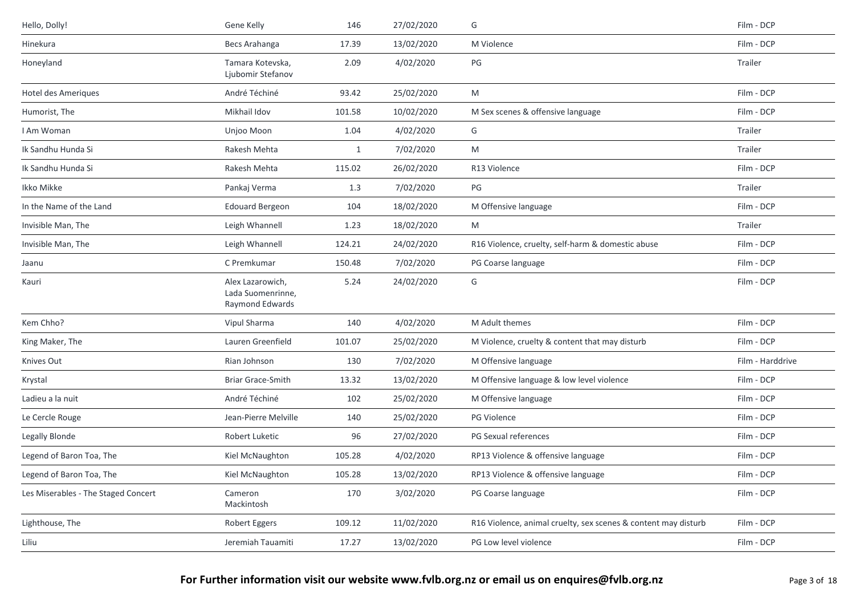| Hello, Dolly!                       | Gene Kelly                                               | 146          | 27/02/2020 | G                                                              | Film - DCP       |
|-------------------------------------|----------------------------------------------------------|--------------|------------|----------------------------------------------------------------|------------------|
| Hinekura                            | Becs Arahanga                                            | 17.39        | 13/02/2020 | M Violence                                                     | Film - DCP       |
| Honeyland                           | Tamara Kotevska,<br>Ljubomir Stefanov                    | 2.09         | 4/02/2020  | PG                                                             | Trailer          |
| Hotel des Ameriques                 | André Téchiné                                            | 93.42        | 25/02/2020 | M                                                              | Film - DCP       |
| Humorist, The                       | Mikhail Idov                                             | 101.58       | 10/02/2020 | M Sex scenes & offensive language                              | Film - DCP       |
| I Am Woman                          | Unjoo Moon                                               | 1.04         | 4/02/2020  | G                                                              | Trailer          |
| Ik Sandhu Hunda Si                  | Rakesh Mehta                                             | $\mathbf{1}$ | 7/02/2020  | M                                                              | Trailer          |
| Ik Sandhu Hunda Si                  | Rakesh Mehta                                             | 115.02       | 26/02/2020 | R13 Violence                                                   | Film - DCP       |
| Ikko Mikke                          | Pankaj Verma                                             | 1.3          | 7/02/2020  | PG                                                             | Trailer          |
| In the Name of the Land             | <b>Edouard Bergeon</b>                                   | 104          | 18/02/2020 | M Offensive language                                           | Film - DCP       |
| Invisible Man, The                  | Leigh Whannell                                           | 1.23         | 18/02/2020 | M                                                              | Trailer          |
| Invisible Man, The                  | Leigh Whannell                                           | 124.21       | 24/02/2020 | R16 Violence, cruelty, self-harm & domestic abuse              | Film - DCP       |
| Jaanu                               | C Premkumar                                              | 150.48       | 7/02/2020  | PG Coarse language                                             | Film - DCP       |
| Kauri                               | Alex Lazarowich,<br>Lada Suomenrinne,<br>Raymond Edwards | 5.24         | 24/02/2020 | G                                                              | Film - DCP       |
| Kem Chho?                           | Vipul Sharma                                             | 140          | 4/02/2020  | M Adult themes                                                 | Film - DCP       |
| King Maker, The                     | Lauren Greenfield                                        | 101.07       | 25/02/2020 | M Violence, cruelty & content that may disturb                 | Film - DCP       |
| Knives Out                          | Rian Johnson                                             | 130          | 7/02/2020  | M Offensive language                                           | Film - Harddrive |
| Krystal                             | <b>Briar Grace-Smith</b>                                 | 13.32        | 13/02/2020 | M Offensive language & low level violence                      | Film - DCP       |
| Ladieu a la nuit                    | André Téchiné                                            | 102          | 25/02/2020 | M Offensive language                                           | Film - DCP       |
| Le Cercle Rouge                     | Jean-Pierre Melville                                     | 140          | 25/02/2020 | PG Violence                                                    | Film - DCP       |
| Legally Blonde                      | Robert Luketic                                           | 96           | 27/02/2020 | PG Sexual references                                           | Film - DCP       |
| Legend of Baron Toa, The            | Kiel McNaughton                                          | 105.28       | 4/02/2020  | RP13 Violence & offensive language                             | Film - DCP       |
| Legend of Baron Toa, The            | Kiel McNaughton                                          | 105.28       | 13/02/2020 | RP13 Violence & offensive language                             | Film - DCP       |
| Les Miserables - The Staged Concert | Cameron<br>Mackintosh                                    | 170          | 3/02/2020  | PG Coarse language                                             | Film - DCP       |
| Lighthouse, The                     | Robert Eggers                                            | 109.12       | 11/02/2020 | R16 Violence, animal cruelty, sex scenes & content may disturb | Film - DCP       |
| Liliu                               | Jeremiah Tauamiti                                        | 17.27        | 13/02/2020 | PG Low level violence                                          | Film - DCP       |
|                                     |                                                          |              |            |                                                                |                  |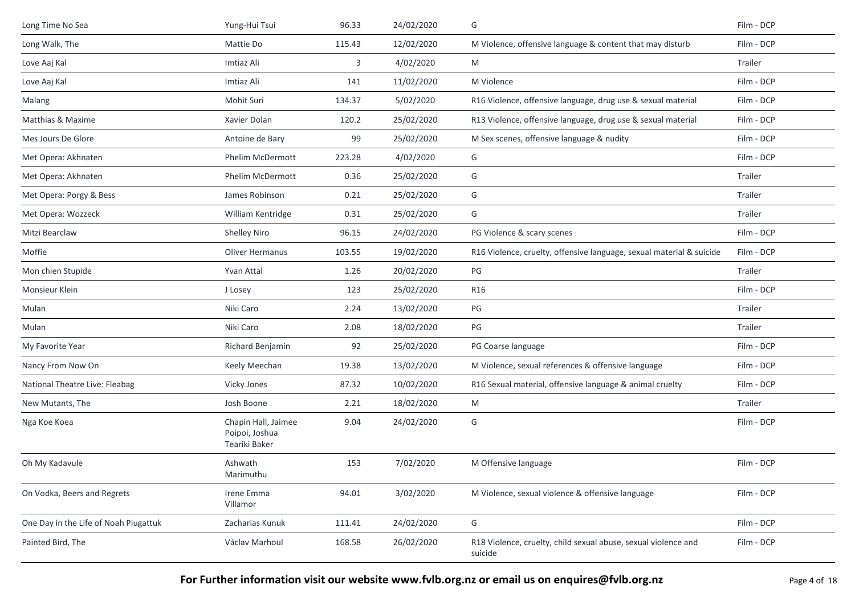| Long Time No Sea                      | Yung-Hui Tsui                                          | 96.33  | 24/02/2020 | G                                                                         | Film - DCP |
|---------------------------------------|--------------------------------------------------------|--------|------------|---------------------------------------------------------------------------|------------|
| Long Walk, The                        | Mattie Do                                              | 115.43 | 12/02/2020 | M Violence, offensive language & content that may disturb                 | Film - DCP |
| Love Aaj Kal                          | Imtiaz Ali                                             | 3      | 4/02/2020  | M                                                                         | Trailer    |
| Love Aaj Kal                          | Imtiaz Ali                                             | 141    | 11/02/2020 | M Violence                                                                | Film - DCP |
| Malang                                | Mohit Suri                                             | 134.37 | 5/02/2020  | R16 Violence, offensive language, drug use & sexual material              | Film - DCP |
| Matthias & Maxime                     | Xavier Dolan                                           | 120.2  | 25/02/2020 | R13 Violence, offensive language, drug use & sexual material              | Film - DCP |
| Mes Jours De Glore                    | Antoine de Bary                                        | 99     | 25/02/2020 | M Sex scenes, offensive language & nudity                                 | Film - DCP |
| Met Opera: Akhnaten                   | Phelim McDermott                                       | 223.28 | 4/02/2020  | G                                                                         | Film - DCP |
| Met Opera: Akhnaten                   | Phelim McDermott                                       | 0.36   | 25/02/2020 | G                                                                         | Trailer    |
| Met Opera: Porgy & Bess               | James Robinson                                         | 0.21   | 25/02/2020 | G                                                                         | Trailer    |
| Met Opera: Wozzeck                    | William Kentridge                                      | 0.31   | 25/02/2020 | G                                                                         | Trailer    |
| Mitzi Bearclaw                        | <b>Shelley Niro</b>                                    | 96.15  | 24/02/2020 | PG Violence & scary scenes                                                | Film - DCP |
| Moffie                                | <b>Oliver Hermanus</b>                                 | 103.55 | 19/02/2020 | R16 Violence, cruelty, offensive language, sexual material & suicide      | Film - DCP |
| Mon chien Stupide                     | Yvan Attal                                             | 1.26   | 20/02/2020 | PG                                                                        | Trailer    |
| Monsieur Klein                        | J Losey                                                | 123    | 25/02/2020 | R16                                                                       | Film - DCP |
| Mulan                                 | Niki Caro                                              | 2.24   | 13/02/2020 | PG                                                                        | Trailer    |
| Mulan                                 | Niki Caro                                              | 2.08   | 18/02/2020 | PG                                                                        | Trailer    |
| My Favorite Year                      | Richard Benjamin                                       | 92     | 25/02/2020 | PG Coarse language                                                        | Film - DCP |
| Nancy From Now On                     | Keely Meechan                                          | 19.38  | 13/02/2020 | M Violence, sexual references & offensive language                        | Film - DCP |
| National Theatre Live: Fleabag        | Vicky Jones                                            | 87.32  | 10/02/2020 | R16 Sexual material, offensive language & animal cruelty                  | Film - DCP |
| New Mutants, The                      | Josh Boone                                             | 2.21   | 18/02/2020 | M                                                                         | Trailer    |
| Nga Koe Koea                          | Chapin Hall, Jaimee<br>Poipoi, Joshua<br>Teariki Baker | 9.04   | 24/02/2020 | G                                                                         | Film - DCP |
| Oh My Kadavule                        | Ashwath<br>Marimuthu                                   | 153    | 7/02/2020  | M Offensive language                                                      | Film - DCP |
| On Vodka, Beers and Regrets           | Irene Emma<br>Villamor                                 | 94.01  | 3/02/2020  | M Violence, sexual violence & offensive language                          | Film - DCP |
| One Day in the Life of Noah Piugattuk | Zacharias Kunuk                                        | 111.41 | 24/02/2020 | G                                                                         | Film - DCP |
| Painted Bird, The                     | Václav Marhoul                                         | 168.58 | 26/02/2020 | R18 Violence, cruelty, child sexual abuse, sexual violence and<br>suicide | Film - DCP |

**For Further information visit our website www.fvlb.org.nz or email us on enquires@fvlb.org.nz** Page 4 of 18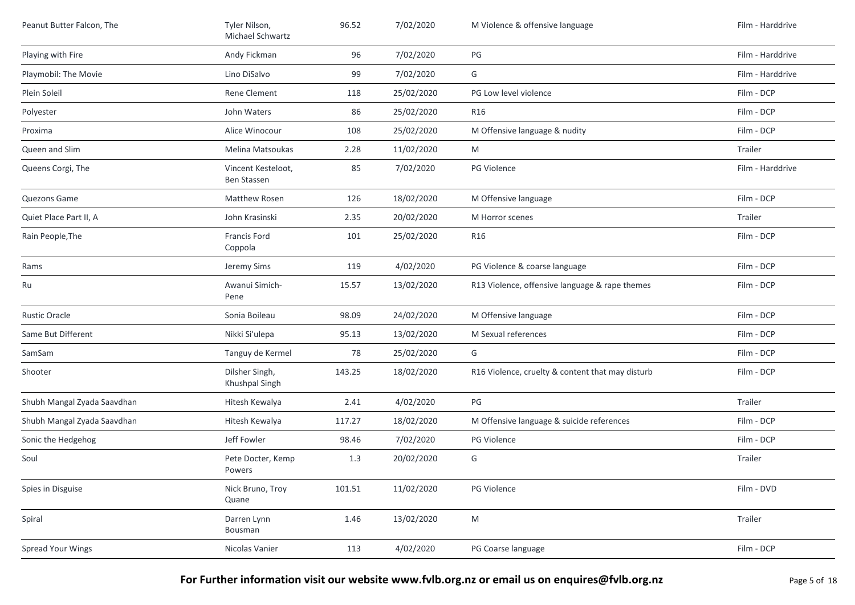| Peanut Butter Falcon, The   | Tyler Nilson,<br>Michael Schwartz | 96.52  | 7/02/2020  | M Violence & offensive language                  | Film - Harddrive |
|-----------------------------|-----------------------------------|--------|------------|--------------------------------------------------|------------------|
| Playing with Fire           | Andy Fickman                      | 96     | 7/02/2020  | PG                                               | Film - Harddrive |
| Playmobil: The Movie        | Lino DiSalvo                      | 99     | 7/02/2020  | G                                                | Film - Harddrive |
| Plein Soleil                | Rene Clement                      | 118    | 25/02/2020 | PG Low level violence                            | Film - DCP       |
| Polyester                   | John Waters                       | 86     | 25/02/2020 | R16                                              | Film - DCP       |
| Proxima                     | Alice Winocour                    | 108    | 25/02/2020 | M Offensive language & nudity                    | Film - DCP       |
| Queen and Slim              | Melina Matsoukas                  | 2.28   | 11/02/2020 | M                                                | Trailer          |
| Queens Corgi, The           | Vincent Kesteloot,<br>Ben Stassen | 85     | 7/02/2020  | PG Violence                                      | Film - Harddrive |
| Quezons Game                | Matthew Rosen                     | 126    | 18/02/2020 | M Offensive language                             | Film - DCP       |
| Quiet Place Part II, A      | John Krasinski                    | 2.35   | 20/02/2020 | M Horror scenes                                  | Trailer          |
| Rain People, The            | Francis Ford<br>Coppola           | 101    | 25/02/2020 | <b>R16</b>                                       | Film - DCP       |
| Rams                        | Jeremy Sims                       | 119    | 4/02/2020  | PG Violence & coarse language                    | Film - DCP       |
| Ru                          | Awanui Simich-<br>Pene            | 15.57  | 13/02/2020 | R13 Violence, offensive language & rape themes   | Film - DCP       |
| <b>Rustic Oracle</b>        | Sonia Boileau                     | 98.09  | 24/02/2020 | M Offensive language                             | Film - DCP       |
| Same But Different          | Nikki Si'ulepa                    | 95.13  | 13/02/2020 | M Sexual references                              | Film - DCP       |
| SamSam                      | Tanguy de Kermel                  | 78     | 25/02/2020 | G                                                | Film - DCP       |
| Shooter                     | Dilsher Singh,<br>Khushpal Singh  | 143.25 | 18/02/2020 | R16 Violence, cruelty & content that may disturb | Film - DCP       |
| Shubh Mangal Zyada Saavdhan | Hitesh Kewalya                    | 2.41   | 4/02/2020  | $\mathsf{PG}$                                    | Trailer          |
| Shubh Mangal Zyada Saavdhan | Hitesh Kewalya                    | 117.27 | 18/02/2020 | M Offensive language & suicide references        | Film - DCP       |
| Sonic the Hedgehog          | Jeff Fowler                       | 98.46  | 7/02/2020  | PG Violence                                      | Film - DCP       |
| Soul                        | Pete Docter, Kemp<br>Powers       | 1.3    | 20/02/2020 | G                                                | Trailer          |
| Spies in Disguise           | Nick Bruno, Troy<br>Quane         | 101.51 | 11/02/2020 | PG Violence                                      | Film - DVD       |
| Spiral                      | Darren Lynn<br>Bousman            | 1.46   | 13/02/2020 | ${\sf M}$                                        | Trailer          |
| <b>Spread Your Wings</b>    | Nicolas Vanier                    | 113    | 4/02/2020  | PG Coarse language                               | Film - DCP       |
|                             |                                   |        |            |                                                  |                  |

**For Further information visit our website www.fvlb.org.nz or email us on enquires@fvlb.org.nz** Page 5 of 18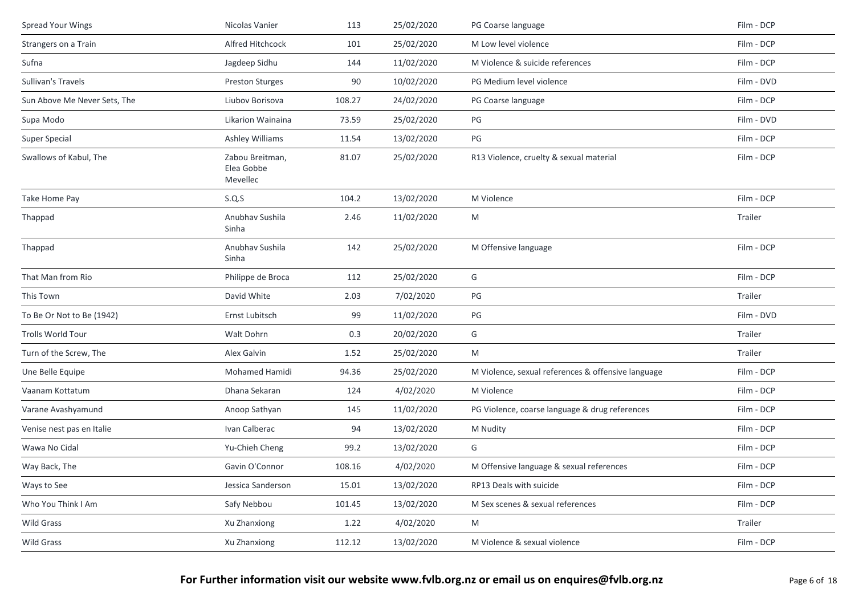| <b>Spread Your Wings</b>     | Nicolas Vanier                            | 113    | 25/02/2020 | PG Coarse language                                 | Film - DCP |
|------------------------------|-------------------------------------------|--------|------------|----------------------------------------------------|------------|
| Strangers on a Train         | Alfred Hitchcock                          | 101    | 25/02/2020 | M Low level violence                               | Film - DCP |
| Sufna                        | Jagdeep Sidhu                             | 144    | 11/02/2020 | M Violence & suicide references                    | Film - DCP |
| Sullivan's Travels           | Preston Sturges                           | 90     | 10/02/2020 | PG Medium level violence                           | Film - DVD |
| Sun Above Me Never Sets, The | Liubov Borisova                           | 108.27 | 24/02/2020 | PG Coarse language                                 | Film - DCP |
| Supa Modo                    | Likarion Wainaina                         | 73.59  | 25/02/2020 | PG                                                 | Film - DVD |
| <b>Super Special</b>         | <b>Ashley Williams</b>                    | 11.54  | 13/02/2020 | PG                                                 | Film - DCP |
| Swallows of Kabul, The       | Zabou Breitman,<br>Elea Gobbe<br>Mevellec | 81.07  | 25/02/2020 | R13 Violence, cruelty & sexual material            | Film - DCP |
| Take Home Pay                | S.Q.S                                     | 104.2  | 13/02/2020 | M Violence                                         | Film - DCP |
| Thappad                      | Anubhav Sushila<br>Sinha                  | 2.46   | 11/02/2020 | M                                                  | Trailer    |
| Thappad                      | Anubhav Sushila<br>Sinha                  | 142    | 25/02/2020 | M Offensive language                               | Film - DCP |
| That Man from Rio            | Philippe de Broca                         | 112    | 25/02/2020 | G                                                  | Film - DCP |
| This Town                    | David White                               | 2.03   | 7/02/2020  | PG                                                 | Trailer    |
| To Be Or Not to Be (1942)    | Ernst Lubitsch                            | 99     | 11/02/2020 | PG                                                 | Film - DVD |
| Trolls World Tour            | Walt Dohrn                                | 0.3    | 20/02/2020 | G                                                  | Trailer    |
| Turn of the Screw, The       | Alex Galvin                               | 1.52   | 25/02/2020 | M                                                  | Trailer    |
| Une Belle Equipe             | Mohamed Hamidi                            | 94.36  | 25/02/2020 | M Violence, sexual references & offensive language | Film - DCP |
| Vaanam Kottatum              | Dhana Sekaran                             | 124    | 4/02/2020  | M Violence                                         | Film - DCP |
| Varane Avashyamund           | Anoop Sathyan                             | 145    | 11/02/2020 | PG Violence, coarse language & drug references     | Film - DCP |
| Venise nest pas en Italie    | Ivan Calberac                             | 94     | 13/02/2020 | M Nudity                                           | Film - DCP |
| Wawa No Cidal                | Yu-Chieh Cheng                            | 99.2   | 13/02/2020 | G                                                  | Film - DCP |
| Way Back, The                | Gavin O'Connor                            | 108.16 | 4/02/2020  | M Offensive language & sexual references           | Film - DCP |
| Ways to See                  | Jessica Sanderson                         | 15.01  | 13/02/2020 | RP13 Deals with suicide                            | Film - DCP |
| Who You Think I Am           | Safy Nebbou                               | 101.45 | 13/02/2020 | M Sex scenes & sexual references                   | Film - DCP |
| Wild Grass                   | Xu Zhanxiong                              | 1.22   | 4/02/2020  | M                                                  | Trailer    |
| Wild Grass                   | Xu Zhanxiong                              | 112.12 | 13/02/2020 | M Violence & sexual violence                       | Film - DCP |
|                              |                                           |        |            |                                                    |            |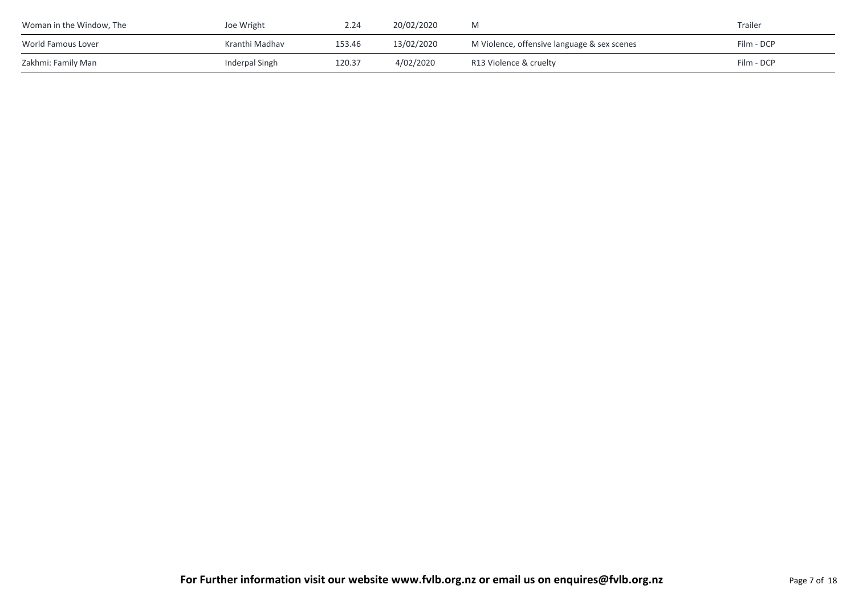| Woman in the Window, The | Joe Wright     | 2.24   | 20/02/2020 |                                             | Trailer    |
|--------------------------|----------------|--------|------------|---------------------------------------------|------------|
| World Famous Lover       | Kranthi Madhav | 153.46 | 13/02/2020 | M Violence, offensive language & sex scenes | Film - DCP |
| Zakhmi: Family Man       | Inderpal Singh | 120.37 | 4/02/2020  | R13 Violence & cruelty                      | Film - DCP |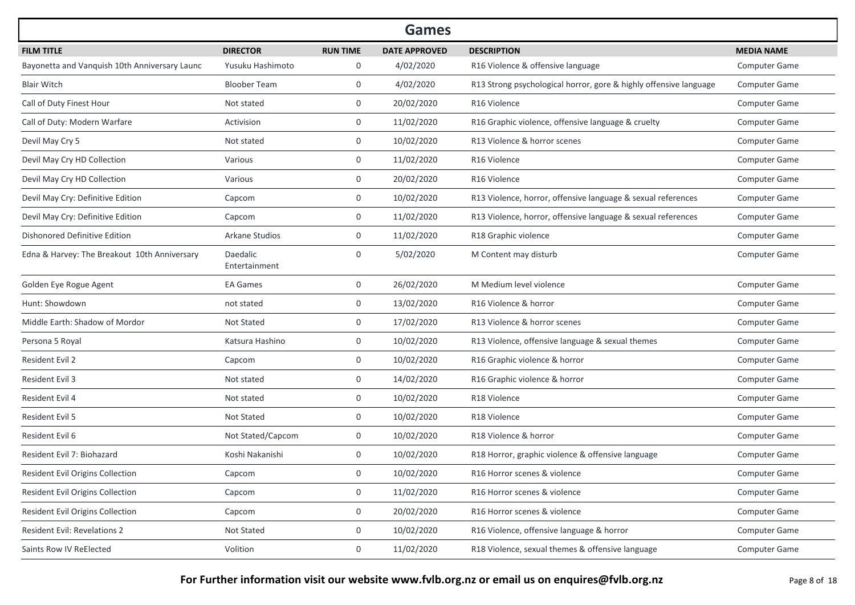|                                               |                           |                 | <b>Games</b>         |                                                                   |                      |
|-----------------------------------------------|---------------------------|-----------------|----------------------|-------------------------------------------------------------------|----------------------|
| <b>FILM TITLE</b>                             | <b>DIRECTOR</b>           | <b>RUN TIME</b> | <b>DATE APPROVED</b> | <b>DESCRIPTION</b>                                                | <b>MEDIA NAME</b>    |
| Bayonetta and Vanquish 10th Anniversary Launc | Yusuku Hashimoto          | 0               | 4/02/2020            | R16 Violence & offensive language                                 | <b>Computer Game</b> |
| <b>Blair Witch</b>                            | <b>Bloober Team</b>       | 0               | 4/02/2020            | R13 Strong psychological horror, gore & highly offensive language | <b>Computer Game</b> |
| Call of Duty Finest Hour                      | Not stated                | 0               | 20/02/2020           | R16 Violence                                                      | Computer Game        |
| Call of Duty: Modern Warfare                  | Activision                | 0               | 11/02/2020           | R16 Graphic violence, offensive language & cruelty                | <b>Computer Game</b> |
| Devil May Cry 5                               | Not stated                | 0               | 10/02/2020           | R13 Violence & horror scenes                                      | Computer Game        |
| Devil May Cry HD Collection                   | Various                   | 0               | 11/02/2020           | R <sub>16</sub> Violence                                          | <b>Computer Game</b> |
| Devil May Cry HD Collection                   | Various                   | 0               | 20/02/2020           | R <sub>16</sub> Violence                                          | <b>Computer Game</b> |
| Devil May Cry: Definitive Edition             | Capcom                    | 0               | 10/02/2020           | R13 Violence, horror, offensive language & sexual references      | Computer Game        |
| Devil May Cry: Definitive Edition             | Capcom                    | 0               | 11/02/2020           | R13 Violence, horror, offensive language & sexual references      | <b>Computer Game</b> |
| Dishonored Definitive Edition                 | Arkane Studios            | 0               | 11/02/2020           | R18 Graphic violence                                              | Computer Game        |
| Edna & Harvey: The Breakout 10th Anniversary  | Daedalic<br>Entertainment | 0               | 5/02/2020            | M Content may disturb                                             | <b>Computer Game</b> |
| Golden Eye Rogue Agent                        | <b>EA Games</b>           | 0               | 26/02/2020           | M Medium level violence                                           | <b>Computer Game</b> |
| Hunt: Showdown                                | not stated                | 0               | 13/02/2020           | R16 Violence & horror                                             | <b>Computer Game</b> |
| Middle Earth: Shadow of Mordor                | Not Stated                | 0               | 17/02/2020           | R13 Violence & horror scenes                                      | Computer Game        |
| Persona 5 Royal                               | Katsura Hashino           | 0               | 10/02/2020           | R13 Violence, offensive language & sexual themes                  | Computer Game        |
| <b>Resident Evil 2</b>                        | Capcom                    | 0               | 10/02/2020           | R16 Graphic violence & horror                                     | Computer Game        |
| Resident Evil 3                               | Not stated                | 0               | 14/02/2020           | R16 Graphic violence & horror                                     | Computer Game        |
| Resident Evil 4                               | Not stated                | 0               | 10/02/2020           | R18 Violence                                                      | Computer Game        |
| Resident Evil 5                               | Not Stated                | 0               | 10/02/2020           | R18 Violence                                                      | Computer Game        |
| Resident Evil 6                               | Not Stated/Capcom         | 0               | 10/02/2020           | R18 Violence & horror                                             | <b>Computer Game</b> |
| Resident Evil 7: Biohazard                    | Koshi Nakanishi           | 0               | 10/02/2020           | R18 Horror, graphic violence & offensive language                 | <b>Computer Game</b> |
| Resident Evil Origins Collection              | Capcom                    | 0               | 10/02/2020           | R16 Horror scenes & violence                                      | Computer Game        |
| Resident Evil Origins Collection              | Capcom                    | 0               | 11/02/2020           | R16 Horror scenes & violence                                      | Computer Game        |
| Resident Evil Origins Collection              | Capcom                    | 0               | 20/02/2020           | R16 Horror scenes & violence                                      | Computer Game        |
| Resident Evil: Revelations 2                  | Not Stated                | 0               | 10/02/2020           | R16 Violence, offensive language & horror                         | Computer Game        |
| Saints Row IV ReElected                       | Volition                  | 0               | 11/02/2020           | R18 Violence, sexual themes & offensive language                  | Computer Game        |

For Further information visit our website www.fvlb.org.nz or email us on enquires@fvlb.org.nz<br>Page 8 of 18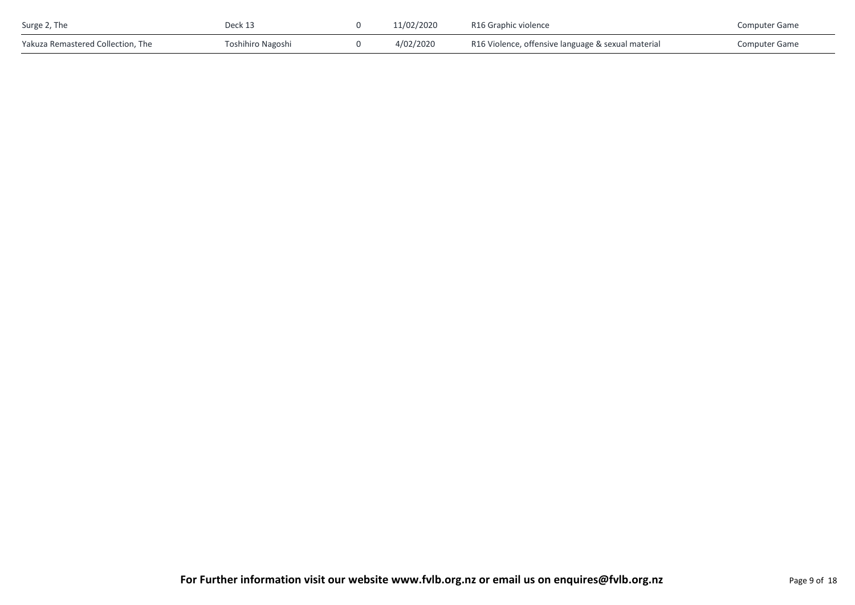| Surge 2, The                      | Deck 13           | 11/02/2020 | R16 Graphic violence                               | <b>Computer Game</b> |
|-----------------------------------|-------------------|------------|----------------------------------------------------|----------------------|
| Yakuza Remastered Collection, The | Toshihiro Nagoshi | 4/02/2020  | R16 Violence, offensive language & sexual material | <b>Computer Game</b> |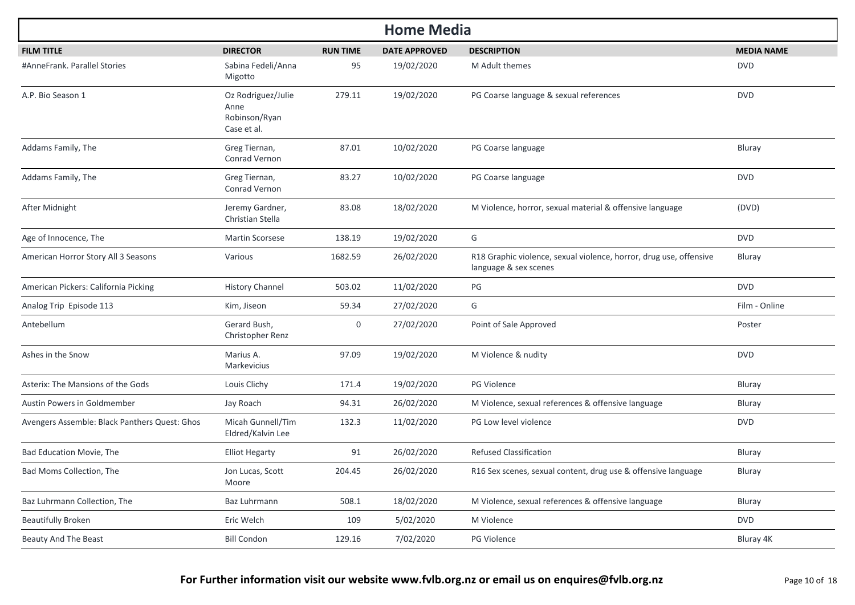| <b>Home Media</b>                             |                                                            |                 |                      |                                                                                             |                   |  |  |  |  |
|-----------------------------------------------|------------------------------------------------------------|-----------------|----------------------|---------------------------------------------------------------------------------------------|-------------------|--|--|--|--|
| <b>FILM TITLE</b>                             | <b>DIRECTOR</b>                                            | <b>RUN TIME</b> | <b>DATE APPROVED</b> | <b>DESCRIPTION</b>                                                                          | <b>MEDIA NAME</b> |  |  |  |  |
| #AnneFrank. Parallel Stories                  | Sabina Fedeli/Anna<br>Migotto                              | 95              | 19/02/2020           | M Adult themes                                                                              | <b>DVD</b>        |  |  |  |  |
| A.P. Bio Season 1                             | Oz Rodriguez/Julie<br>Anne<br>Robinson/Ryan<br>Case et al. | 279.11          | 19/02/2020           | PG Coarse language & sexual references                                                      | <b>DVD</b>        |  |  |  |  |
| Addams Family, The                            | Greg Tiernan,<br>Conrad Vernon                             | 87.01           | 10/02/2020           | PG Coarse language                                                                          | Bluray            |  |  |  |  |
| Addams Family, The                            | Greg Tiernan,<br>Conrad Vernon                             | 83.27           | 10/02/2020           | PG Coarse language                                                                          | <b>DVD</b>        |  |  |  |  |
| After Midnight                                | Jeremy Gardner,<br>Christian Stella                        | 83.08           | 18/02/2020           | M Violence, horror, sexual material & offensive language                                    | (DVD)             |  |  |  |  |
| Age of Innocence, The                         | Martin Scorsese                                            | 138.19          | 19/02/2020           | G                                                                                           | <b>DVD</b>        |  |  |  |  |
| American Horror Story All 3 Seasons           | Various                                                    | 1682.59         | 26/02/2020           | R18 Graphic violence, sexual violence, horror, drug use, offensive<br>language & sex scenes | Bluray            |  |  |  |  |
| American Pickers: California Picking          | <b>History Channel</b>                                     | 503.02          | 11/02/2020           | PG                                                                                          | <b>DVD</b>        |  |  |  |  |
| Analog Trip Episode 113                       | Kim, Jiseon                                                | 59.34           | 27/02/2020           | G                                                                                           | Film - Online     |  |  |  |  |
| Antebellum                                    | Gerard Bush,<br>Christopher Renz                           | 0               | 27/02/2020           | Point of Sale Approved                                                                      | Poster            |  |  |  |  |
| Ashes in the Snow                             | Marius A.<br>Markevicius                                   | 97.09           | 19/02/2020           | M Violence & nudity                                                                         | <b>DVD</b>        |  |  |  |  |
| Asterix: The Mansions of the Gods             | Louis Clichy                                               | 171.4           | 19/02/2020           | PG Violence                                                                                 | Bluray            |  |  |  |  |
| Austin Powers in Goldmember                   | Jay Roach                                                  | 94.31           | 26/02/2020           | M Violence, sexual references & offensive language                                          | Bluray            |  |  |  |  |
| Avengers Assemble: Black Panthers Quest: Ghos | Micah Gunnell/Tim<br>Eldred/Kalvin Lee                     | 132.3           | 11/02/2020           | PG Low level violence                                                                       | <b>DVD</b>        |  |  |  |  |
| Bad Education Movie, The                      | <b>Elliot Hegarty</b>                                      | 91              | 26/02/2020           | <b>Refused Classification</b>                                                               | Bluray            |  |  |  |  |
| Bad Moms Collection, The                      | Jon Lucas, Scott<br>Moore                                  | 204.45          | 26/02/2020           | R16 Sex scenes, sexual content, drug use & offensive language                               | Bluray            |  |  |  |  |
| Baz Luhrmann Collection, The                  | Baz Luhrmann                                               | 508.1           | 18/02/2020           | M Violence, sexual references & offensive language                                          | Bluray            |  |  |  |  |
| <b>Beautifully Broken</b>                     | Eric Welch                                                 | 109             | 5/02/2020            | M Violence                                                                                  | <b>DVD</b>        |  |  |  |  |
| Beauty And The Beast                          | <b>Bill Condon</b>                                         | 129.16          | 7/02/2020            | PG Violence                                                                                 | Bluray 4K         |  |  |  |  |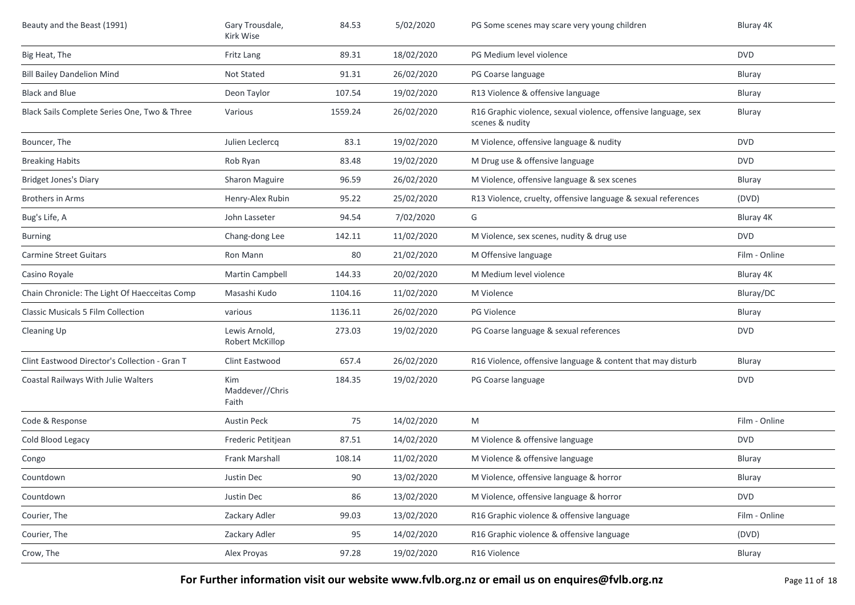| Beauty and the Beast (1991)                   | Gary Trousdale,<br>Kirk Wise     | 84.53   | 5/02/2020  | PG Some scenes may scare very young children                                      | Bluray 4K     |
|-----------------------------------------------|----------------------------------|---------|------------|-----------------------------------------------------------------------------------|---------------|
| Big Heat, The                                 | Fritz Lang                       | 89.31   | 18/02/2020 | PG Medium level violence                                                          | <b>DVD</b>    |
| <b>Bill Bailey Dandelion Mind</b>             | Not Stated                       | 91.31   | 26/02/2020 | PG Coarse language                                                                | <b>Bluray</b> |
| <b>Black and Blue</b>                         | Deon Taylor                      | 107.54  | 19/02/2020 | R13 Violence & offensive language                                                 | Bluray        |
| Black Sails Complete Series One, Two & Three  | Various                          | 1559.24 | 26/02/2020 | R16 Graphic violence, sexual violence, offensive language, sex<br>scenes & nudity | Bluray        |
| Bouncer, The                                  | Julien Leclercq                  | 83.1    | 19/02/2020 | M Violence, offensive language & nudity                                           | <b>DVD</b>    |
| <b>Breaking Habits</b>                        | Rob Ryan                         | 83.48   | 19/02/2020 | M Drug use & offensive language                                                   | <b>DVD</b>    |
| <b>Bridget Jones's Diary</b>                  | <b>Sharon Maguire</b>            | 96.59   | 26/02/2020 | M Violence, offensive language & sex scenes                                       | <b>Bluray</b> |
| <b>Brothers in Arms</b>                       | Henry-Alex Rubin                 | 95.22   | 25/02/2020 | R13 Violence, cruelty, offensive language & sexual references                     | (DVD)         |
| Bug's Life, A                                 | John Lasseter                    | 94.54   | 7/02/2020  | G                                                                                 | Bluray 4K     |
| <b>Burning</b>                                | Chang-dong Lee                   | 142.11  | 11/02/2020 | M Violence, sex scenes, nudity & drug use                                         | <b>DVD</b>    |
| <b>Carmine Street Guitars</b>                 | Ron Mann                         | 80      | 21/02/2020 | M Offensive language                                                              | Film - Online |
| Casino Royale                                 | Martin Campbell                  | 144.33  | 20/02/2020 | M Medium level violence                                                           | Bluray 4K     |
| Chain Chronicle: The Light Of Haecceitas Comp | Masashi Kudo                     | 1104.16 | 11/02/2020 | M Violence                                                                        | Bluray/DC     |
| <b>Classic Musicals 5 Film Collection</b>     | various                          | 1136.11 | 26/02/2020 | PG Violence                                                                       | Bluray        |
| Cleaning Up                                   | Lewis Arnold,<br>Robert McKillop | 273.03  | 19/02/2020 | PG Coarse language & sexual references                                            | <b>DVD</b>    |
| Clint Eastwood Director's Collection - Gran T | Clint Eastwood                   | 657.4   | 26/02/2020 | R16 Violence, offensive language & content that may disturb                       | Bluray        |
| Coastal Railways With Julie Walters           | Kim<br>Maddever//Chris<br>Faith  | 184.35  | 19/02/2020 | PG Coarse language                                                                | <b>DVD</b>    |
| Code & Response                               | <b>Austin Peck</b>               | 75      | 14/02/2020 | M                                                                                 | Film - Online |
| Cold Blood Legacy                             | Frederic Petitjean               | 87.51   | 14/02/2020 | M Violence & offensive language                                                   | <b>DVD</b>    |
| Congo                                         | Frank Marshall                   | 108.14  | 11/02/2020 | M Violence & offensive language                                                   | Bluray        |
| Countdown                                     | Justin Dec                       | 90      | 13/02/2020 | M Violence, offensive language & horror                                           | Bluray        |
| Countdown                                     | Justin Dec                       | 86      | 13/02/2020 | M Violence, offensive language & horror                                           | <b>DVD</b>    |
| Courier, The                                  | Zackary Adler                    | 99.03   | 13/02/2020 | R16 Graphic violence & offensive language                                         | Film - Online |
| Courier, The                                  | Zackary Adler                    | 95      | 14/02/2020 | R16 Graphic violence & offensive language                                         | (DVD)         |
| Crow, The                                     | Alex Proyas                      | 97.28   | 19/02/2020 | R16 Violence                                                                      | Bluray        |

**For Further information visit our website www.fvlb.org.nz or email us on enquires@fvlb.org.nz** Page 11 of 18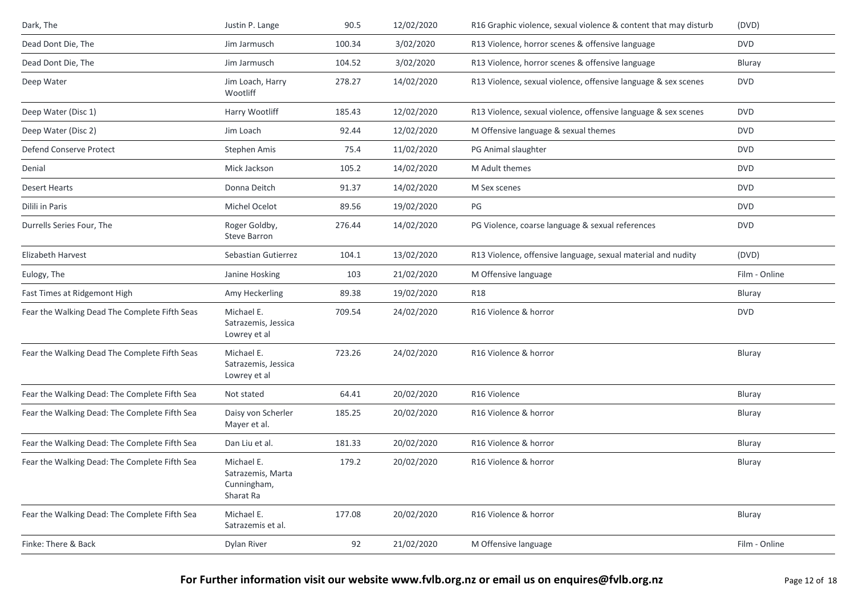| Dark, The                                     | Justin P. Lange                                             | 90.5   | 12/02/2020 | R16 Graphic violence, sexual violence & content that may disturb | (DVD)         |
|-----------------------------------------------|-------------------------------------------------------------|--------|------------|------------------------------------------------------------------|---------------|
| Dead Dont Die, The                            | Jim Jarmusch                                                | 100.34 | 3/02/2020  | R13 Violence, horror scenes & offensive language                 | <b>DVD</b>    |
| Dead Dont Die, The                            | Jim Jarmusch                                                | 104.52 | 3/02/2020  | R13 Violence, horror scenes & offensive language                 | Bluray        |
| Deep Water                                    | Jim Loach, Harry<br>Wootliff                                | 278.27 | 14/02/2020 | R13 Violence, sexual violence, offensive language & sex scenes   | <b>DVD</b>    |
| Deep Water (Disc 1)                           | Harry Wootliff                                              | 185.43 | 12/02/2020 | R13 Violence, sexual violence, offensive language & sex scenes   | <b>DVD</b>    |
| Deep Water (Disc 2)                           | Jim Loach                                                   | 92.44  | 12/02/2020 | M Offensive language & sexual themes                             | <b>DVD</b>    |
| Defend Conserve Protect                       | Stephen Amis                                                | 75.4   | 11/02/2020 | PG Animal slaughter                                              | <b>DVD</b>    |
| Denial                                        | Mick Jackson                                                | 105.2  | 14/02/2020 | M Adult themes                                                   | <b>DVD</b>    |
| <b>Desert Hearts</b>                          | Donna Deitch                                                | 91.37  | 14/02/2020 | M Sex scenes                                                     | <b>DVD</b>    |
| Dilili in Paris                               | Michel Ocelot                                               | 89.56  | 19/02/2020 | PG                                                               | <b>DVD</b>    |
| Durrells Series Four, The                     | Roger Goldby,<br>Steve Barron                               | 276.44 | 14/02/2020 | PG Violence, coarse language & sexual references                 | <b>DVD</b>    |
| Elizabeth Harvest                             | Sebastian Gutierrez                                         | 104.1  | 13/02/2020 | R13 Violence, offensive language, sexual material and nudity     | (DVD)         |
| Eulogy, The                                   | Janine Hosking                                              | 103    | 21/02/2020 | M Offensive language                                             | Film - Online |
| Fast Times at Ridgemont High                  | Amy Heckerling                                              | 89.38  | 19/02/2020 | <b>R18</b>                                                       | Bluray        |
| Fear the Walking Dead The Complete Fifth Seas | Michael E.<br>Satrazemis, Jessica<br>Lowrey et al           | 709.54 | 24/02/2020 | R16 Violence & horror                                            | <b>DVD</b>    |
| Fear the Walking Dead The Complete Fifth Seas | Michael E.<br>Satrazemis, Jessica<br>Lowrey et al           | 723.26 | 24/02/2020 | R16 Violence & horror                                            | Bluray        |
| Fear the Walking Dead: The Complete Fifth Sea | Not stated                                                  | 64.41  | 20/02/2020 | R16 Violence                                                     | Bluray        |
| Fear the Walking Dead: The Complete Fifth Sea | Daisy von Scherler<br>Mayer et al.                          | 185.25 | 20/02/2020 | R16 Violence & horror                                            | Bluray        |
| Fear the Walking Dead: The Complete Fifth Sea | Dan Liu et al.                                              | 181.33 | 20/02/2020 | R16 Violence & horror                                            | Bluray        |
| Fear the Walking Dead: The Complete Fifth Sea | Michael E.<br>Satrazemis, Marta<br>Cunningham,<br>Sharat Ra | 179.2  | 20/02/2020 | R16 Violence & horror                                            | Bluray        |
| Fear the Walking Dead: The Complete Fifth Sea | Michael E.<br>Satrazemis et al.                             | 177.08 | 20/02/2020 | R16 Violence & horror                                            | Bluray        |
| Finke: There & Back                           | Dylan River                                                 | 92     | 21/02/2020 | M Offensive language                                             | Film - Online |
|                                               |                                                             |        |            |                                                                  |               |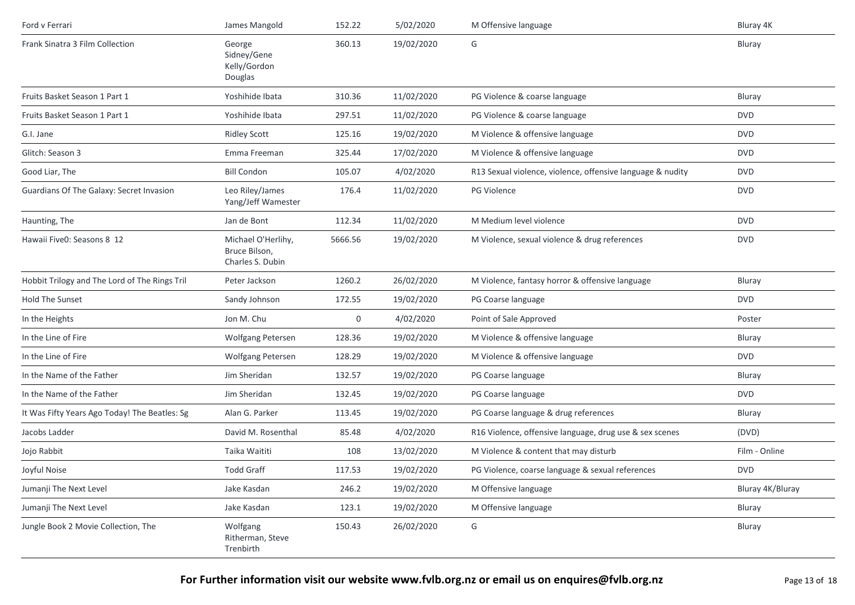| Ford v Ferrari                                | James Mangold                                           | 152.22      | 5/02/2020  | M Offensive language                                       | Bluray 4K        |
|-----------------------------------------------|---------------------------------------------------------|-------------|------------|------------------------------------------------------------|------------------|
| Frank Sinatra 3 Film Collection               | George<br>Sidney/Gene<br>Kelly/Gordon<br>Douglas        | 360.13      | 19/02/2020 | G                                                          | Bluray           |
| Fruits Basket Season 1 Part 1                 | Yoshihide Ibata                                         | 310.36      | 11/02/2020 | PG Violence & coarse language                              | Bluray           |
| Fruits Basket Season 1 Part 1                 | Yoshihide Ibata                                         | 297.51      | 11/02/2020 | PG Violence & coarse language                              | <b>DVD</b>       |
| G.I. Jane                                     | <b>Ridley Scott</b>                                     | 125.16      | 19/02/2020 | M Violence & offensive language                            | <b>DVD</b>       |
| Glitch: Season 3                              | Emma Freeman                                            | 325.44      | 17/02/2020 | M Violence & offensive language                            | <b>DVD</b>       |
| Good Liar, The                                | <b>Bill Condon</b>                                      | 105.07      | 4/02/2020  | R13 Sexual violence, violence, offensive language & nudity | <b>DVD</b>       |
| Guardians Of The Galaxy: Secret Invasion      | Leo Riley/James<br>Yang/Jeff Wamester                   | 176.4       | 11/02/2020 | PG Violence                                                | <b>DVD</b>       |
| Haunting, The                                 | Jan de Bont                                             | 112.34      | 11/02/2020 | M Medium level violence                                    | <b>DVD</b>       |
| Hawaii Five0: Seasons 8 12                    | Michael O'Herlihy,<br>Bruce Bilson,<br>Charles S. Dubin | 5666.56     | 19/02/2020 | M Violence, sexual violence & drug references              | <b>DVD</b>       |
| Hobbit Trilogy and The Lord of The Rings Tril | Peter Jackson                                           | 1260.2      | 26/02/2020 | M Violence, fantasy horror & offensive language            | Bluray           |
| Hold The Sunset                               | Sandy Johnson                                           | 172.55      | 19/02/2020 | PG Coarse language                                         | <b>DVD</b>       |
| In the Heights                                | Jon M. Chu                                              | $\mathbf 0$ | 4/02/2020  | Point of Sale Approved                                     | Poster           |
| In the Line of Fire                           | <b>Wolfgang Petersen</b>                                | 128.36      | 19/02/2020 | M Violence & offensive language                            | Bluray           |
| In the Line of Fire                           | Wolfgang Petersen                                       | 128.29      | 19/02/2020 | M Violence & offensive language                            | <b>DVD</b>       |
| In the Name of the Father                     | Jim Sheridan                                            | 132.57      | 19/02/2020 | PG Coarse language                                         | Bluray           |
| In the Name of the Father                     | Jim Sheridan                                            | 132.45      | 19/02/2020 | PG Coarse language                                         | <b>DVD</b>       |
| It Was Fifty Years Ago Today! The Beatles: Sg | Alan G. Parker                                          | 113.45      | 19/02/2020 | PG Coarse language & drug references                       | Bluray           |
| Jacobs Ladder                                 | David M. Rosenthal                                      | 85.48       | 4/02/2020  | R16 Violence, offensive language, drug use & sex scenes    | (DVD)            |
| Jojo Rabbit                                   | Taika Waititi                                           | 108         | 13/02/2020 | M Violence & content that may disturb                      | Film - Online    |
| Joyful Noise                                  | <b>Todd Graff</b>                                       | 117.53      | 19/02/2020 | PG Violence, coarse language & sexual references           | <b>DVD</b>       |
| Jumanji The Next Level                        | Jake Kasdan                                             | 246.2       | 19/02/2020 | M Offensive language                                       | Bluray 4K/Bluray |
| Jumanji The Next Level                        | Jake Kasdan                                             | 123.1       | 19/02/2020 | M Offensive language                                       | Bluray           |
| Jungle Book 2 Movie Collection, The           | Wolfgang<br>Ritherman, Steve<br>Trenbirth               | 150.43      | 26/02/2020 | G                                                          | Bluray           |

**For Further information visit our website www.fvlb.org.nz or email us on enquires@fvlb.org.nz** Page 13 of 18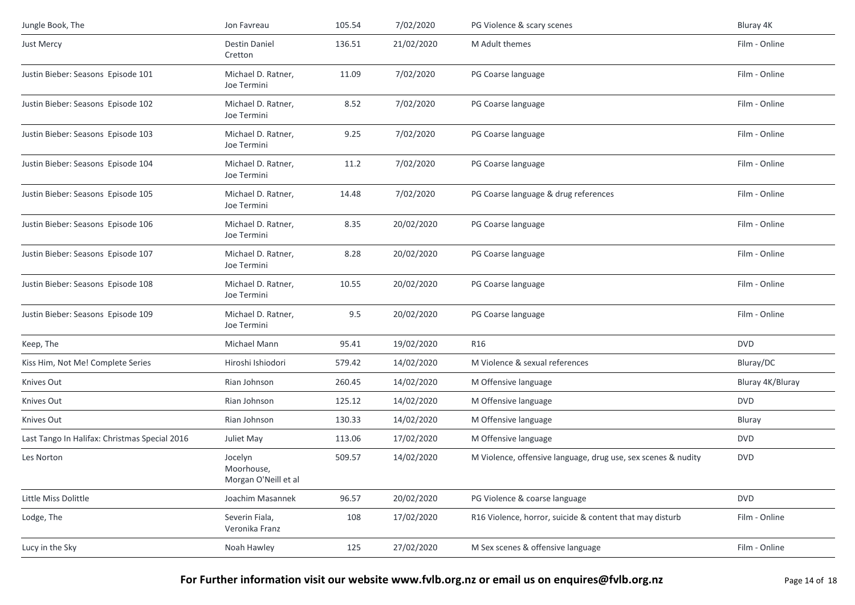| Jungle Book, The                              | Jon Favreau                                   | 105.54 | 7/02/2020  | PG Violence & scary scenes                                    | Bluray 4K        |
|-----------------------------------------------|-----------------------------------------------|--------|------------|---------------------------------------------------------------|------------------|
| Just Mercy                                    | Destin Daniel<br>Cretton                      | 136.51 | 21/02/2020 | M Adult themes                                                | Film - Online    |
| Justin Bieber: Seasons Episode 101            | Michael D. Ratner,<br>Joe Termini             | 11.09  | 7/02/2020  | PG Coarse language                                            | Film - Online    |
| Justin Bieber: Seasons Episode 102            | Michael D. Ratner,<br>Joe Termini             | 8.52   | 7/02/2020  | PG Coarse language                                            | Film - Online    |
| Justin Bieber: Seasons Episode 103            | Michael D. Ratner,<br>Joe Termini             | 9.25   | 7/02/2020  | PG Coarse language                                            | Film - Online    |
| Justin Bieber: Seasons Episode 104            | Michael D. Ratner,<br>Joe Termini             | 11.2   | 7/02/2020  | PG Coarse language                                            | Film - Online    |
| Justin Bieber: Seasons Episode 105            | Michael D. Ratner,<br>Joe Termini             | 14.48  | 7/02/2020  | PG Coarse language & drug references                          | Film - Online    |
| Justin Bieber: Seasons Episode 106            | Michael D. Ratner,<br>Joe Termini             | 8.35   | 20/02/2020 | PG Coarse language                                            | Film - Online    |
| Justin Bieber: Seasons Episode 107            | Michael D. Ratner,<br>Joe Termini             | 8.28   | 20/02/2020 | PG Coarse language                                            | Film - Online    |
| Justin Bieber: Seasons Episode 108            | Michael D. Ratner,<br>Joe Termini             | 10.55  | 20/02/2020 | PG Coarse language                                            | Film - Online    |
| Justin Bieber: Seasons Episode 109            | Michael D. Ratner,<br>Joe Termini             | 9.5    | 20/02/2020 | PG Coarse language                                            | Film - Online    |
| Keep, The                                     | Michael Mann                                  | 95.41  | 19/02/2020 | R16                                                           | <b>DVD</b>       |
| Kiss Him, Not Me! Complete Series             | Hiroshi Ishiodori                             | 579.42 | 14/02/2020 | M Violence & sexual references                                | Bluray/DC        |
| Knives Out                                    | Rian Johnson                                  | 260.45 | 14/02/2020 | M Offensive language                                          | Bluray 4K/Bluray |
| Knives Out                                    | Rian Johnson                                  | 125.12 | 14/02/2020 | M Offensive language                                          | <b>DVD</b>       |
| Knives Out                                    | Rian Johnson                                  | 130.33 | 14/02/2020 | M Offensive language                                          | Bluray           |
| Last Tango In Halifax: Christmas Special 2016 | Juliet May                                    | 113.06 | 17/02/2020 | M Offensive language                                          | <b>DVD</b>       |
| Les Norton                                    | Jocelyn<br>Moorhouse,<br>Morgan O'Neill et al | 509.57 | 14/02/2020 | M Violence, offensive language, drug use, sex scenes & nudity | <b>DVD</b>       |
| Little Miss Dolittle                          | Joachim Masannek                              | 96.57  | 20/02/2020 | PG Violence & coarse language                                 | <b>DVD</b>       |
| Lodge, The                                    | Severin Fiala,<br>Veronika Franz              | 108    | 17/02/2020 | R16 Violence, horror, suicide & content that may disturb      | Film - Online    |
| Lucy in the Sky                               | Noah Hawley                                   | 125    | 27/02/2020 | M Sex scenes & offensive language                             | Film - Online    |

## **For Further information visit our website www.fvlb.org.nz or email us on enquires@fvlb.org.nz** Page 14 of 18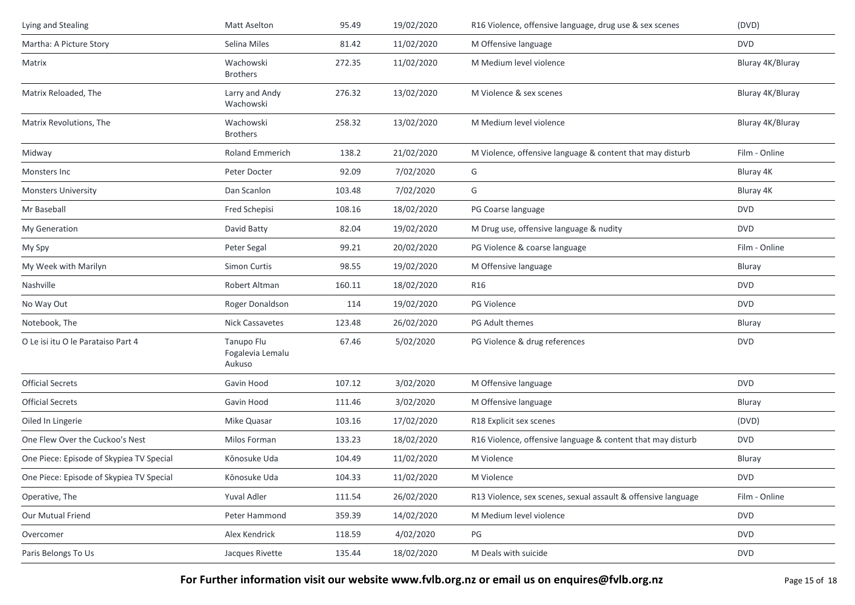| Lying and Stealing                       | Matt Aselton                             | 95.49  | 19/02/2020 | R16 Violence, offensive language, drug use & sex scenes       | (DVD)            |
|------------------------------------------|------------------------------------------|--------|------------|---------------------------------------------------------------|------------------|
| Martha: A Picture Story                  | Selina Miles                             | 81.42  | 11/02/2020 | M Offensive language                                          | <b>DVD</b>       |
| Matrix                                   | Wachowski<br><b>Brothers</b>             | 272.35 | 11/02/2020 | M Medium level violence                                       | Bluray 4K/Bluray |
| Matrix Reloaded, The                     | Larry and Andy<br>Wachowski              | 276.32 | 13/02/2020 | M Violence & sex scenes                                       | Bluray 4K/Bluray |
| Matrix Revolutions, The                  | Wachowski<br><b>Brothers</b>             | 258.32 | 13/02/2020 | M Medium level violence                                       | Bluray 4K/Bluray |
| Midway                                   | <b>Roland Emmerich</b>                   | 138.2  | 21/02/2020 | M Violence, offensive language & content that may disturb     | Film - Online    |
| Monsters Inc                             | Peter Docter                             | 92.09  | 7/02/2020  | G                                                             | Bluray 4K        |
| <b>Monsters University</b>               | Dan Scanlon                              | 103.48 | 7/02/2020  | G                                                             | Bluray 4K        |
| Mr Baseball                              | Fred Schepisi                            | 108.16 | 18/02/2020 | PG Coarse language                                            | <b>DVD</b>       |
| My Generation                            | David Batty                              | 82.04  | 19/02/2020 | M Drug use, offensive language & nudity                       | <b>DVD</b>       |
| My Spy                                   | Peter Segal                              | 99.21  | 20/02/2020 | PG Violence & coarse language                                 | Film - Online    |
| My Week with Marilyn                     | Simon Curtis                             | 98.55  | 19/02/2020 | M Offensive language                                          | <b>Bluray</b>    |
| Nashville                                | Robert Altman                            | 160.11 | 18/02/2020 | R16                                                           | <b>DVD</b>       |
| No Way Out                               | Roger Donaldson                          | 114    | 19/02/2020 | <b>PG Violence</b>                                            | <b>DVD</b>       |
| Notebook, The                            | <b>Nick Cassavetes</b>                   | 123.48 | 26/02/2020 | PG Adult themes                                               | Bluray           |
| O Le isi itu O le Parataiso Part 4       | Tanupo Flu<br>Fogalevia Lemalu<br>Aukuso | 67.46  | 5/02/2020  | PG Violence & drug references                                 | <b>DVD</b>       |
| <b>Official Secrets</b>                  | Gavin Hood                               | 107.12 | 3/02/2020  | M Offensive language                                          | <b>DVD</b>       |
| <b>Official Secrets</b>                  | Gavin Hood                               | 111.46 | 3/02/2020  | M Offensive language                                          | <b>Bluray</b>    |
| Oiled In Lingerie                        | Mike Quasar                              | 103.16 | 17/02/2020 | R18 Explicit sex scenes                                       | (DVD)            |
| One Flew Over the Cuckoo's Nest          | Milos Forman                             | 133.23 | 18/02/2020 | R16 Violence, offensive language & content that may disturb   | <b>DVD</b>       |
| One Piece: Episode of Skypiea TV Special | Kōnosuke Uda                             | 104.49 | 11/02/2020 | M Violence                                                    | Bluray           |
| One Piece: Episode of Skypiea TV Special | Kōnosuke Uda                             | 104.33 | 11/02/2020 | M Violence                                                    | <b>DVD</b>       |
| Operative, The                           | Yuval Adler                              | 111.54 | 26/02/2020 | R13 Violence, sex scenes, sexual assault & offensive language | Film - Online    |
| Our Mutual Friend                        | Peter Hammond                            | 359.39 | 14/02/2020 | M Medium level violence                                       | <b>DVD</b>       |
| Overcomer                                | Alex Kendrick                            | 118.59 | 4/02/2020  | PG                                                            | <b>DVD</b>       |
| Paris Belongs To Us                      | Jacques Rivette                          | 135.44 | 18/02/2020 | M Deals with suicide                                          | <b>DVD</b>       |

For Further information visit our website www.fvlb.org.nz or email us on enquires@fvlb.org.nz<br>Page 15 of 18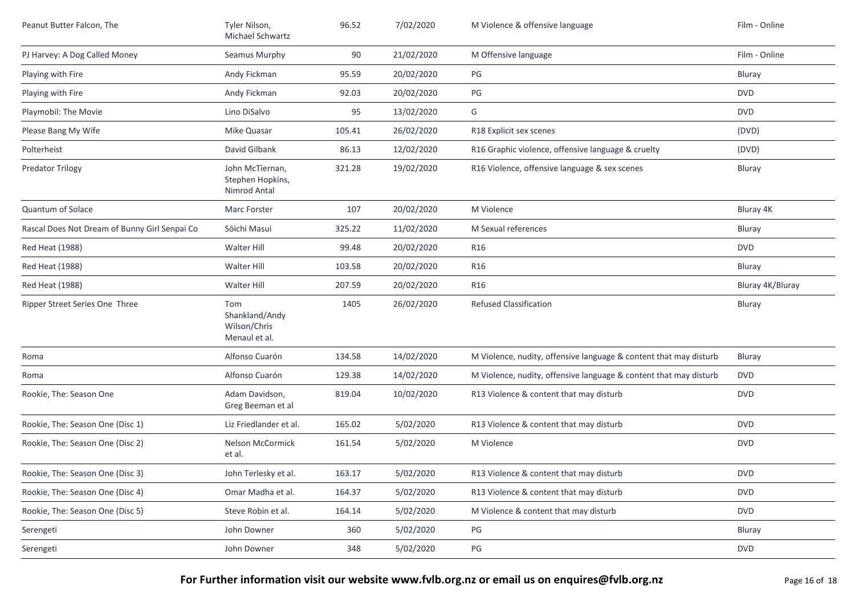| Peanut Butter Falcon, The                     | Tyler Nilson,<br>Michael Schwartz                      | 96.52  | 7/02/2020  | M Violence & offensive language                                   | Film - Online    |
|-----------------------------------------------|--------------------------------------------------------|--------|------------|-------------------------------------------------------------------|------------------|
| PJ Harvey: A Dog Called Money                 | Seamus Murphy                                          | 90     | 21/02/2020 | M Offensive language                                              | Film - Online    |
| Playing with Fire                             | Andy Fickman                                           | 95.59  | 20/02/2020 | PG                                                                | Bluray           |
| Playing with Fire                             | Andy Fickman                                           | 92.03  | 20/02/2020 | PG                                                                | <b>DVD</b>       |
| Playmobil: The Movie                          | Lino DiSalvo                                           | 95     | 13/02/2020 | G                                                                 | <b>DVD</b>       |
| Please Bang My Wife                           | Mike Quasar                                            | 105.41 | 26/02/2020 | R18 Explicit sex scenes                                           | (DVD)            |
| Polterheist                                   | David Gilbank                                          | 86.13  | 12/02/2020 | R16 Graphic violence, offensive language & cruelty                | (DVD)            |
| <b>Predator Trilogy</b>                       | John McTiernan,<br>Stephen Hopkins,<br>Nimrod Antal    | 321.28 | 19/02/2020 | R16 Violence, offensive language & sex scenes                     | Bluray           |
| Quantum of Solace                             | Marc Forster                                           | 107    | 20/02/2020 | M Violence                                                        | Bluray 4K        |
| Rascal Does Not Dream of Bunny Girl Senpai Co | Sōichi Masui                                           | 325.22 | 11/02/2020 | M Sexual references                                               | Bluray           |
| Red Heat (1988)                               | Walter Hill                                            | 99.48  | 20/02/2020 | R <sub>16</sub>                                                   | <b>DVD</b>       |
| Red Heat (1988)                               | Walter Hill                                            | 103.58 | 20/02/2020 | <b>R16</b>                                                        | Bluray           |
| Red Heat (1988)                               | Walter Hill                                            | 207.59 | 20/02/2020 | R16                                                               | Bluray 4K/Bluray |
| Ripper Street Series One Three                | Tom<br>Shankland/Andy<br>Wilson/Chris<br>Menaul et al. | 1405   | 26/02/2020 | <b>Refused Classification</b>                                     | Bluray           |
| Roma                                          | Alfonso Cuarón                                         | 134.58 | 14/02/2020 | M Violence, nudity, offensive language & content that may disturb | Bluray           |
| Roma                                          | Alfonso Cuarón                                         | 129.38 | 14/02/2020 | M Violence, nudity, offensive language & content that may disturb | <b>DVD</b>       |
| Rookie, The: Season One                       | Adam Davidson,<br>Greg Beeman et al                    | 819.04 | 10/02/2020 | R13 Violence & content that may disturb                           | <b>DVD</b>       |
| Rookie, The: Season One (Disc 1)              | Liz Friedlander et al.                                 | 165.02 | 5/02/2020  | R13 Violence & content that may disturb                           | <b>DVD</b>       |
| Rookie, The: Season One (Disc 2)              | Nelson McCormick<br>et al.                             | 161.54 | 5/02/2020  | M Violence                                                        | <b>DVD</b>       |
| Rookie, The: Season One (Disc 3)              | John Terlesky et al.                                   | 163.17 | 5/02/2020  | R13 Violence & content that may disturb                           | <b>DVD</b>       |
| Rookie, The: Season One (Disc 4)              | Omar Madha et al.                                      | 164.37 | 5/02/2020  | R13 Violence & content that may disturb                           | <b>DVD</b>       |
| Rookie, The: Season One (Disc 5)              | Steve Robin et al.                                     | 164.14 | 5/02/2020  | M Violence & content that may disturb                             | <b>DVD</b>       |
| Serengeti                                     | John Downer                                            | 360    | 5/02/2020  | PG                                                                | Bluray           |
| Serengeti                                     | John Downer                                            | 348    | 5/02/2020  | PG                                                                | <b>DVD</b>       |

**For Further information visit our website www.fvlb.org.nz or email us on enquires@fvlb.org.nz** Page 16 of 18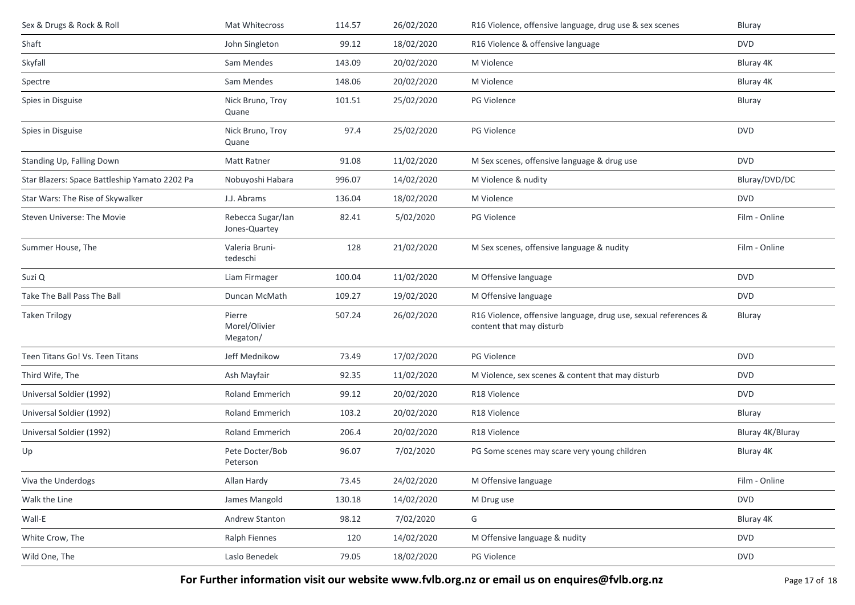| 26/02/2020<br>R16 Violence, offensive language, drug use & sex scenes<br>114.57<br>Bluray                                     |
|-------------------------------------------------------------------------------------------------------------------------------|
| 99.12<br>18/02/2020<br>R16 Violence & offensive language<br><b>DVD</b>                                                        |
| 20/02/2020<br>143.09<br>M Violence<br>Bluray 4K                                                                               |
| 20/02/2020<br>148.06<br>M Violence<br>Bluray 4K                                                                               |
| 101.51<br>25/02/2020<br><b>PG Violence</b><br>Bluray                                                                          |
| 97.4<br>25/02/2020<br>PG Violence<br><b>DVD</b>                                                                               |
| 11/02/2020<br>M Sex scenes, offensive language & drug use<br><b>DVD</b><br>91.08                                              |
| Nobuyoshi Habara<br>14/02/2020<br>Bluray/DVD/DC<br>996.07<br>M Violence & nudity                                              |
| 136.04<br>18/02/2020<br>M Violence<br><b>DVD</b>                                                                              |
| Rebecca Sugar/Ian<br>5/02/2020<br>PG Violence<br>Film - Online<br>82.41                                                       |
| 21/02/2020<br>M Sex scenes, offensive language & nudity<br>Film - Online<br>128                                               |
| 100.04<br>11/02/2020<br>M Offensive language<br><b>DVD</b>                                                                    |
| M Offensive language<br>109.27<br>19/02/2020<br>DVD                                                                           |
| 507.24<br>26/02/2020<br>R16 Violence, offensive language, drug use, sexual references &<br>Bluray<br>content that may disturb |
| 73.49<br>17/02/2020<br>PG Violence<br><b>DVD</b>                                                                              |
| 11/02/2020<br>M Violence, sex scenes & content that may disturb<br>92.35<br><b>DVD</b>                                        |
| 20/02/2020<br>99.12<br>R18 Violence<br>DVD                                                                                    |
| 103.2<br>20/02/2020<br>R18 Violence<br>Bluray                                                                                 |
| 20/02/2020<br>R18 Violence<br>Bluray 4K/Bluray<br>206.4                                                                       |
| 7/02/2020<br>96.07<br>PG Some scenes may scare very young children<br>Bluray 4K                                               |
| 24/02/2020<br>73.45<br>M Offensive language<br>Film - Online                                                                  |
| 14/02/2020<br><b>DVD</b><br>130.18<br>M Drug use                                                                              |
| 98.12<br>7/02/2020<br>G<br>Bluray 4K                                                                                          |
| 120<br>14/02/2020<br>M Offensive language & nudity<br><b>DVD</b>                                                              |
| <b>DVD</b><br>18/02/2020<br>PG Violence<br>79.05                                                                              |
|                                                                                                                               |

**For Further information visit our website www.fvlb.org.nz or email us on enquires@fvlb.org.nz** Page 17 of 18